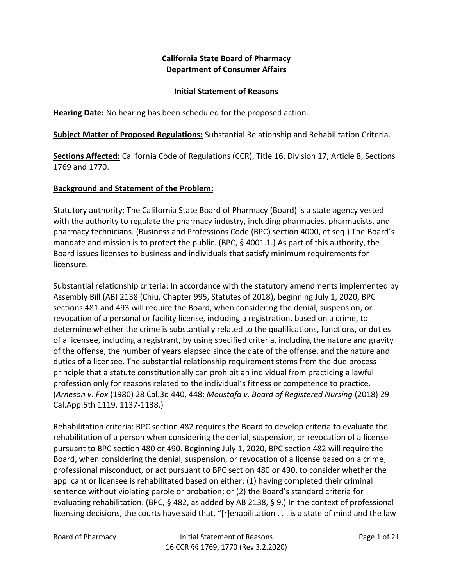# **California State Board of Pharmacy Department of Consumer Affairs**

#### **Initial Statement of Reasons**

**Hearing Date:** No hearing has been scheduled for the proposed action.

**Subject Matter of Proposed Regulations:** Substantial Relationship and Rehabilitation Criteria.

**Sections Affected:** California Code of Regulations (CCR), Title 16, Division 17, Article 8, Sections 1769 and 1770.

### **Background and Statement of the Problem:**

Statutory authority: The California State Board of Pharmacy (Board) is a state agency vested with the authority to regulate the pharmacy industry, including pharmacies, pharmacists, and pharmacy technicians. (Business and Professions Code (BPC) section 4000, et seq.) The Board's mandate and mission is to protect the public. (BPC, § 4001.1.) As part of this authority, the Board issues licenses to business and individuals that satisfy minimum requirements for licensure.

Substantial relationship criteria: In accordance with the statutory amendments implemented by Assembly Bill (AB) 2138 (Chiu, Chapter 995, Statutes of 2018), beginning July 1, 2020, BPC sections 481 and 493 will require the Board, when considering the denial, suspension, or revocation of a personal or facility license, including a registration, based on a crime, to determine whether the crime is substantially related to the qualifications, functions, or duties of a licensee, including a registrant, by using specified criteria, including the nature and gravity of the offense, the number of years elapsed since the date of the offense, and the nature and duties of a licensee. The substantial relationship requirement stems from the due process principle that a statute constitutionally can prohibit an individual from practicing a lawful profession only for reasons related to the individual's fitness or competence to practice. (*Arneson v. Fox* (1980) 28 Cal.3d 440, 448; *Moustafa v. Board of Registered Nursing* (2018) 29 Cal.App.5th 1119, 1137-1138.)

Rehabilitation criteria: BPC section 482 requires the Board to develop criteria to evaluate the rehabilitation of a person when considering the denial, suspension, or revocation of a license pursuant to BPC section 480 or 490. Beginning July 1, 2020, BPC section 482 will require the Board, when considering the denial, suspension, or revocation of a license based on a crime, professional misconduct, or act pursuant to BPC section 480 or 490, to consider whether the applicant or licensee is rehabilitated based on either: (1) having completed their criminal sentence without violating parole or probation; or (2) the Board's standard criteria for evaluating rehabilitation. (BPC, § 482, as added by AB 2138, § 9.) In the context of professional licensing decisions, the courts have said that, "[r]ehabilitation . . . is a state of mind and the law

Board of Pharmacy Initial Statement of Reasons Page 1 of 21 16 CCR §§ 1769, 1770 (Rev 3.2.2020)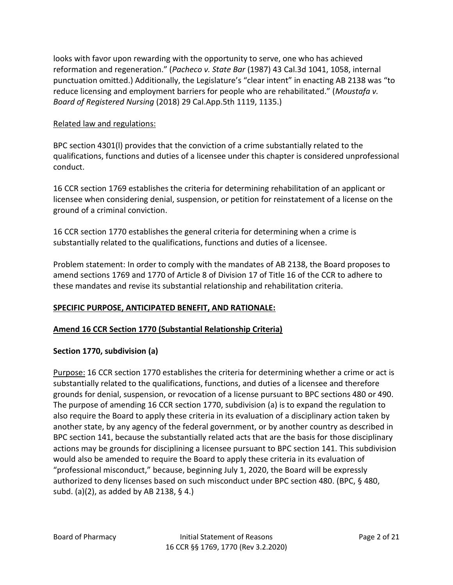looks with favor upon rewarding with the opportunity to serve, one who has achieved reformation and regeneration." (*Pacheco v. State Bar* (1987) 43 Cal.3d 1041, 1058, internal punctuation omitted.) Additionally, the Legislature's "clear intent" in enacting AB 2138 was "to reduce licensing and employment barriers for people who are rehabilitated." (*Moustafa v. Board of Registered Nursing* (2018) 29 Cal.App.5th 1119, 1135.)

### Related law and regulations:

BPC section 4301(l) provides that the conviction of a crime substantially related to the qualifications, functions and duties of a licensee under this chapter is considered unprofessional conduct.

16 CCR section 1769 establishes the criteria for determining rehabilitation of an applicant or licensee when considering denial, suspension, or petition for reinstatement of a license on the ground of a criminal conviction.

16 CCR section 1770 establishes the general criteria for determining when a crime is substantially related to the qualifications, functions and duties of a licensee.

Problem statement: In order to comply with the mandates of AB 2138, the Board proposes to amend sections 1769 and 1770 of Article 8 of Division 17 of Title 16 of the CCR to adhere to these mandates and revise its substantial relationship and rehabilitation criteria.

# **SPECIFIC PURPOSE, ANTICIPATED BENEFIT, AND RATIONALE:**

#### **Amend 16 CCR Section 1770 (Substantial Relationship Criteria)**

#### **Section 1770, subdivision (a)**

Purpose: 16 CCR section 1770 establishes the criteria for determining whether a crime or act is substantially related to the qualifications, functions, and duties of a licensee and therefore grounds for denial, suspension, or revocation of a license pursuant to BPC sections 480 or 490. The purpose of amending 16 CCR section 1770, subdivision (a) is to expand the regulation to also require the Board to apply these criteria in its evaluation of a disciplinary action taken by another state, by any agency of the federal government, or by another country as described in BPC section 141, because the substantially related acts that are the basis for those disciplinary actions may be grounds for disciplining a licensee pursuant to BPC section 141. This subdivision would also be amended to require the Board to apply these criteria in its evaluation of "professional misconduct," because, beginning July 1, 2020, the Board will be expressly authorized to deny licenses based on such misconduct under BPC section 480. (BPC, § 480, subd. (a)(2), as added by AB 2138, § 4.)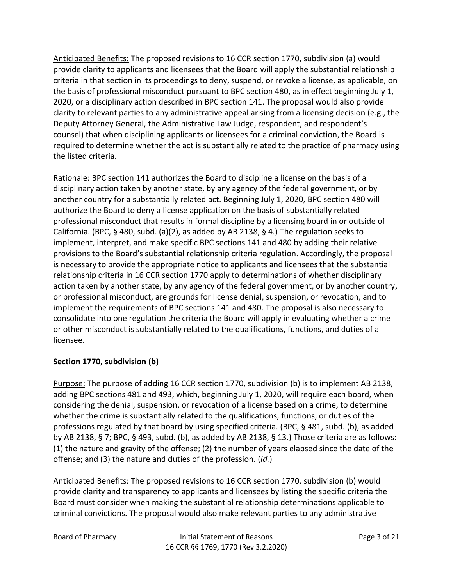Anticipated Benefits: The proposed revisions to 16 CCR section 1770, subdivision (a) would provide clarity to applicants and licensees that the Board will apply the substantial relationship criteria in that section in its proceedings to deny, suspend, or revoke a license, as applicable, on the basis of professional misconduct pursuant to BPC section 480, as in effect beginning July 1, 2020, or a disciplinary action described in BPC section 141. The proposal would also provide clarity to relevant parties to any administrative appeal arising from a licensing decision (e.g., the Deputy Attorney General, the Administrative Law Judge, respondent, and respondent's counsel) that when disciplining applicants or licensees for a criminal conviction, the Board is required to determine whether the act is substantially related to the practice of pharmacy using the listed criteria.

Rationale: BPC section 141 authorizes the Board to discipline a license on the basis of a disciplinary action taken by another state, by any agency of the federal government, or by another country for a substantially related act. Beginning July 1, 2020, BPC section 480 will authorize the Board to deny a license application on the basis of substantially related professional misconduct that results in formal discipline by a licensing board in or outside of California. (BPC, § 480, subd. (a)(2), as added by AB 2138, § 4.) The regulation seeks to implement, interpret, and make specific BPC sections 141 and 480 by adding their relative provisions to the Board's substantial relationship criteria regulation. Accordingly, the proposal is necessary to provide the appropriate notice to applicants and licensees that the substantial relationship criteria in 16 CCR section 1770 apply to determinations of whether disciplinary action taken by another state, by any agency of the federal government, or by another country, or professional misconduct, are grounds for license denial, suspension, or revocation, and to implement the requirements of BPC sections 141 and 480. The proposal is also necessary to consolidate into one regulation the criteria the Board will apply in evaluating whether a crime or other misconduct is substantially related to the qualifications, functions, and duties of a licensee.

# **Section 1770, subdivision (b)**

Purpose: The purpose of adding 16 CCR section 1770, subdivision (b) is to implement AB 2138, adding BPC sections 481 and 493, which, beginning July 1, 2020, will require each board, when considering the denial, suspension, or revocation of a license based on a crime, to determine whether the crime is substantially related to the qualifications, functions, or duties of the professions regulated by that board by using specified criteria. (BPC, § 481, subd. (b), as added by AB 2138, § 7; BPC, § 493, subd. (b), as added by AB 2138, § 13.) Those criteria are as follows: (1) the nature and gravity of the offense; (2) the number of years elapsed since the date of the offense; and (3) the nature and duties of the profession. (*Id.*)

Anticipated Benefits: The proposed revisions to 16 CCR section 1770, subdivision (b) would provide clarity and transparency to applicants and licensees by listing the specific criteria the Board must consider when making the substantial relationship determinations applicable to criminal convictions. The proposal would also make relevant parties to any administrative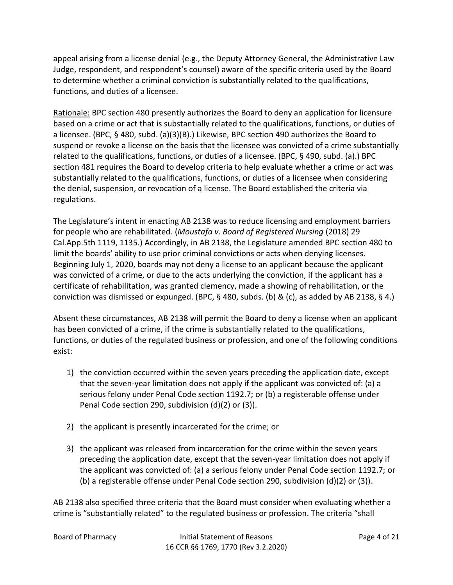appeal arising from a license denial (e.g., the Deputy Attorney General, the Administrative Law Judge, respondent, and respondent's counsel) aware of the specific criteria used by the Board to determine whether a criminal conviction is substantially related to the qualifications, functions, and duties of a licensee.

Rationale: BPC section 480 presently authorizes the Board to deny an application for licensure based on a crime or act that is substantially related to the qualifications, functions, or duties of a licensee. (BPC, § 480, subd. (a)(3)(B).) Likewise, BPC section 490 authorizes the Board to suspend or revoke a license on the basis that the licensee was convicted of a crime substantially related to the qualifications, functions, or duties of a licensee. (BPC, § 490, subd. (a).) BPC section 481 requires the Board to develop criteria to help evaluate whether a crime or act was substantially related to the qualifications, functions, or duties of a licensee when considering the denial, suspension, or revocation of a license. The Board established the criteria via regulations.

The Legislature's intent in enacting AB 2138 was to reduce licensing and employment barriers for people who are rehabilitated. (*Moustafa v. Board of Registered Nursing* (2018) 29 Cal.App.5th 1119, 1135.) Accordingly, in AB 2138, the Legislature amended BPC section 480 to limit the boards' ability to use prior criminal convictions or acts when denying licenses. Beginning July 1, 2020, boards may not deny a license to an applicant because the applicant was convicted of a crime, or due to the acts underlying the conviction, if the applicant has a certificate of rehabilitation, was granted clemency, made a showing of rehabilitation, or the conviction was dismissed or expunged. (BPC, § 480, subds. (b) & (c), as added by AB 2138, § 4.)

Absent these circumstances, AB 2138 will permit the Board to deny a license when an applicant has been convicted of a crime, if the crime is substantially related to the qualifications, functions, or duties of the regulated business or profession, and one of the following conditions exist:

- 1) the conviction occurred within the seven years preceding the application date, except that the seven-year limitation does not apply if the applicant was convicted of: (a) a serious felony under Penal Code section 1192.7; or (b) a registerable offense under Penal Code section 290, subdivision (d)(2) or (3)).
- 2) the applicant is presently incarcerated for the crime; or
- 3) the applicant was released from incarceration for the crime within the seven years preceding the application date, except that the seven-year limitation does not apply if the applicant was convicted of: (a) a serious felony under Penal Code section 1192.7; or (b) a registerable offense under Penal Code section 290, subdivision (d)(2) or (3)).

AB 2138 also specified three criteria that the Board must consider when evaluating whether a crime is "substantially related" to the regulated business or profession. The criteria "shall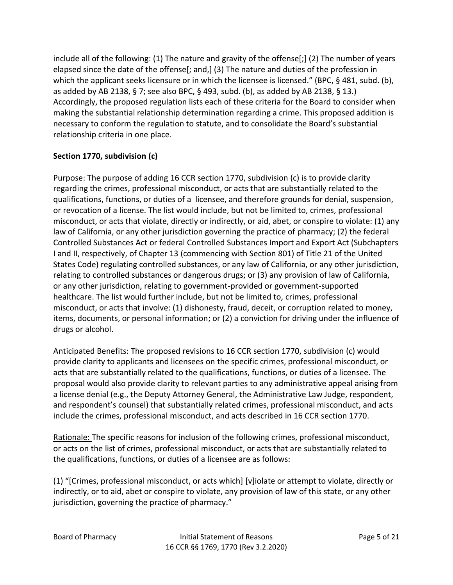include all of the following: (1) The nature and gravity of the offense[;] (2) The number of years elapsed since the date of the offense[; and,] (3) The nature and duties of the profession in which the applicant seeks licensure or in which the licensee is licensed." (BPC, § 481, subd. (b), as added by AB 2138, § 7; see also BPC, § 493, subd. (b), as added by AB 2138, § 13.) Accordingly, the proposed regulation lists each of these criteria for the Board to consider when making the substantial relationship determination regarding a crime. This proposed addition is necessary to conform the regulation to statute, and to consolidate the Board's substantial relationship criteria in one place.

# **Section 1770, subdivision (c)**

Purpose: The purpose of adding 16 CCR section 1770, subdivision (c) is to provide clarity regarding the crimes, professional misconduct, or acts that are substantially related to the qualifications, functions, or duties of a licensee, and therefore grounds for denial, suspension, or revocation of a license. The list would include, but not be limited to, crimes, professional misconduct, or acts that violate, directly or indirectly, or aid, abet, or conspire to violate: (1) any law of California, or any other jurisdiction governing the practice of pharmacy; (2) the federal Controlled Substances Act or federal Controlled Substances Import and Export Act (Subchapters I and II, respectively, of Chapter 13 (commencing with Section 801) of Title 21 of the United States Code) regulating controlled substances, or any law of California, or any other jurisdiction, relating to controlled substances or dangerous drugs; or (3) any provision of law of California, or any other jurisdiction, relating to government-provided or government-supported healthcare. The list would further include, but not be limited to, crimes, professional misconduct, or acts that involve: (1) dishonesty, fraud, deceit, or corruption related to money, items, documents, or personal information; or (2) a conviction for driving under the influence of drugs or alcohol.

Anticipated Benefits: The proposed revisions to 16 CCR section 1770, subdivision (c) would provide clarity to applicants and licensees on the specific crimes, professional misconduct, or acts that are substantially related to the qualifications, functions, or duties of a licensee. The proposal would also provide clarity to relevant parties to any administrative appeal arising from a license denial (e.g., the Deputy Attorney General, the Administrative Law Judge, respondent, and respondent's counsel) that substantially related crimes, professional misconduct, and acts include the crimes, professional misconduct, and acts described in 16 CCR section 1770.

Rationale: The specific reasons for inclusion of the following crimes, professional misconduct, or acts on the list of crimes, professional misconduct, or acts that are substantially related to the qualifications, functions, or duties of a licensee are as follows:

(1) "[Crimes, professional misconduct, or acts which] [v]iolate or attempt to violate, directly or indirectly, or to aid, abet or conspire to violate, any provision of law of this state, or any other jurisdiction, governing the practice of pharmacy."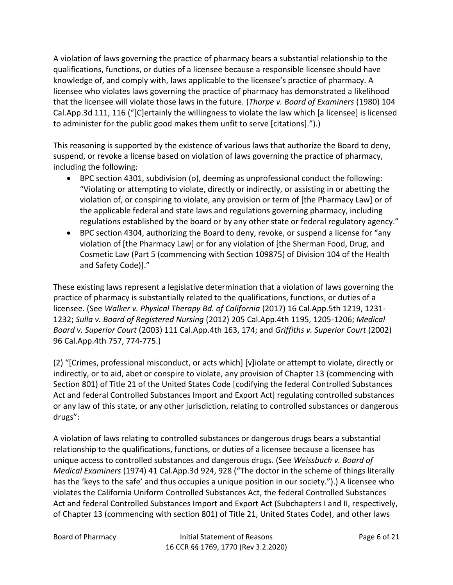A violation of laws governing the practice of pharmacy bears a substantial relationship to the qualifications, functions, or duties of a licensee because a responsible licensee should have knowledge of, and comply with, laws applicable to the licensee's practice of pharmacy. A licensee who violates laws governing the practice of pharmacy has demonstrated a likelihood that the licensee will violate those laws in the future. (*Thorpe v. Board of Examiners* (1980) 104 Cal.App.3d 111, 116 ("[C]ertainly the willingness to violate the law which [a licensee] is licensed to administer for the public good makes them unfit to serve [citations].").)

This reasoning is supported by the existence of various laws that authorize the Board to deny, suspend, or revoke a license based on violation of laws governing the practice of pharmacy, including the following:

- BPC section 4301, subdivision (o), deeming as unprofessional conduct the following: "Violating or attempting to violate, directly or indirectly, or assisting in or abetting the violation of, or conspiring to violate, any provision or term of [the Pharmacy Law] or of the applicable federal and state laws and regulations governing pharmacy, including regulations established by the board or by any other state or federal regulatory agency."
- BPC section 4304, authorizing the Board to deny, revoke, or suspend a license for "any violation of [the Pharmacy Law] or for any violation of [the Sherman Food, Drug, and Cosmetic Law (Part 5 (commencing with Section 109875) of Division 104 of the Health and Safety Code)]."

These existing laws represent a legislative determination that a violation of laws governing the practice of pharmacy is substantially related to the qualifications, functions, or duties of a licensee. (See *Walker v. Physical Therapy Bd. of California* (2017) 16 Cal.App.5th 1219, 1231- 1232; *Sulla v. Board of Registered Nursing* (2012) 205 Cal.App.4th 1195, 1205-1206; *Medical Board v. Superior Court* (2003) 111 Cal.App.4th 163, 174; and *Griffiths v. Superior Court* (2002) 96 Cal.App.4th 757, 774-775.)

(2) "[Crimes, professional misconduct, or acts which] [v]iolate or attempt to violate, directly or indirectly, or to aid, abet or conspire to violate, any provision of Chapter 13 (commencing with Section 801) of Title 21 of the United States Code [codifying the federal Controlled Substances Act and federal Controlled Substances Import and Export Act] regulating controlled substances or any law of this state, or any other jurisdiction, relating to controlled substances or dangerous drugs":

A violation of laws relating to controlled substances or dangerous drugs bears a substantial relationship to the qualifications, functions, or duties of a licensee because a licensee has unique access to controlled substances and dangerous drugs. (See *Weissbuch v. Board of Medical Examiners* (1974) 41 Cal.App.3d 924, 928 ("The doctor in the scheme of things literally has the 'keys to the safe' and thus occupies a unique position in our society.").) A licensee who violates the California Uniform Controlled Substances Act, the federal Controlled Substances Act and federal Controlled Substances Import and Export Act (Subchapters I and II, respectively, of Chapter 13 (commencing with section 801) of Title 21, United States Code), and other laws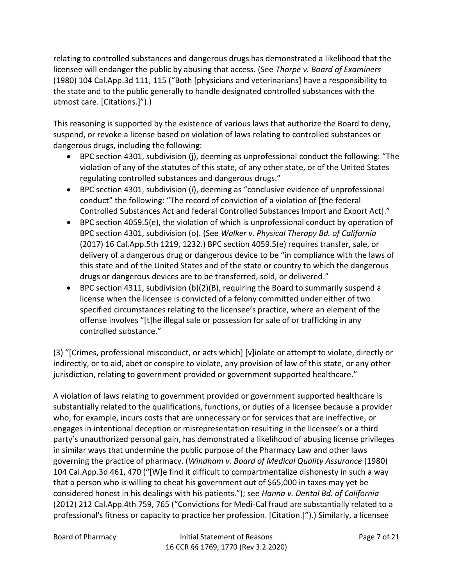relating to controlled substances and dangerous drugs has demonstrated a likelihood that the licensee will endanger the public by abusing that access. (See *Thorpe v. Board of Examiners* (1980) 104 Cal.App.3d 111, 115 ("Both [physicians and veterinarians] have a responsibility to the state and to the public generally to handle designated controlled substances with the utmost care. [Citations.]").)

This reasoning is supported by the existence of various laws that authorize the Board to deny, suspend, or revoke a license based on violation of laws relating to controlled substances or dangerous drugs, including the following:

- BPC section 4301, subdivision (j), deeming as unprofessional conduct the following: "The violation of any of the statutes of this state, of any other state, or of the United States regulating controlled substances and dangerous drugs."
- BPC section 4301, subdivision (*l*), deeming as "conclusive evidence of unprofessional conduct" the following: "The record of conviction of a violation of [the federal Controlled Substances Act and federal Controlled Substances Import and Export Act]."
- BPC section 4059.5(e), the violation of which is unprofessional conduct by operation of BPC section 4301, subdivision (o). (See *Walker v. Physical Therapy Bd. of California* (2017) 16 Cal.App.5th 1219, 1232.) BPC section 4059.5(e) requires transfer, sale, or delivery of a dangerous drug or dangerous device to be "in compliance with the laws of this state and of the United States and of the state or country to which the dangerous drugs or dangerous devices are to be transferred, sold, or delivered."
- BPC section 4311, subdivision (b)(2)(B), requiring the Board to summarily suspend a license when the licensee is convicted of a felony committed under either of two specified circumstances relating to the licensee's practice, where an element of the offense involves "[t]he illegal sale or possession for sale of or trafficking in any controlled substance."

(3) "[Crimes, professional misconduct, or acts which] [v]iolate or attempt to violate, directly or indirectly, or to aid, abet or conspire to violate, any provision of law of this state, or any other jurisdiction, relating to government provided or government supported healthcare."

A violation of laws relating to government provided or government supported healthcare is substantially related to the qualifications, functions, or duties of a licensee because a provider who, for example, incurs costs that are unnecessary or for services that are ineffective, or engages in intentional deception or misrepresentation resulting in the licensee's or a third party's unauthorized personal gain, has demonstrated a likelihood of abusing license privileges in similar ways that undermine the public purpose of the Pharmacy Law and other laws governing the practice of pharmacy. (*Windham v. Board of Medical Quality Assurance* (1980) 104 Cal.App.3d 461, 470 ("[W]e find it difficult to compartmentalize dishonesty in such a way that a person who is willing to cheat his government out of \$65,000 in taxes may yet be considered honest in his dealings with his patients."); see *Hanna v. Dental Bd. of California* (2012) 212 Cal.App.4th 759, 765 ("Convictions for Medi-Cal fraud are substantially related to a professional's fitness or capacity to practice her profession. [Citation.]").) Similarly, a licensee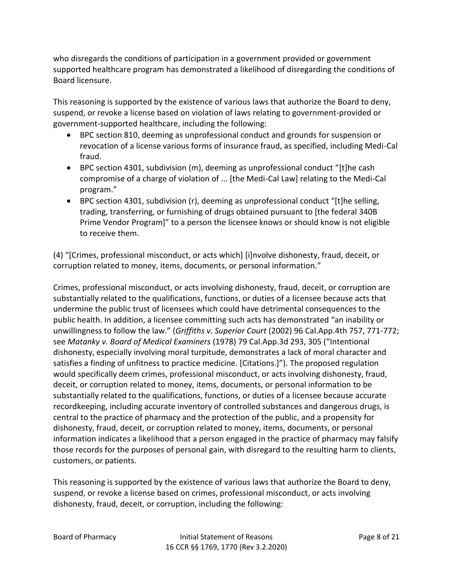who disregards the conditions of participation in a government provided or government supported healthcare program has demonstrated a likelihood of disregarding the conditions of Board licensure.

This reasoning is supported by the existence of various laws that authorize the Board to deny, suspend, or revoke a license based on violation of laws relating to government-provided or government-supported healthcare, including the following:

- BPC section 810, deeming as unprofessional conduct and grounds for suspension or revocation of a license various forms of insurance fraud, as specified, including Medi-Cal fraud.
- BPC section 4301, subdivision (m), deeming as unprofessional conduct "[t]he cash compromise of a charge of violation of ... [the Medi-Cal Law] relating to the Medi-Cal program."
- BPC section 4301, subdivision (r), deeming as unprofessional conduct "[t]he selling, trading, transferring, or furnishing of drugs obtained pursuant to [the federal 340B Prime Vendor Program]" to a person the licensee knows or should know is not eligible to receive them.

(4) "[Crimes, professional misconduct, or acts which] [i]nvolve dishonesty, fraud, deceit, or corruption related to money, items, documents, or personal information."

Crimes, professional misconduct, or acts involving dishonesty, fraud, deceit, or corruption are substantially related to the qualifications, functions, or duties of a licensee because acts that undermine the public trust of licensees which could have detrimental consequences to the public health. In addition, a licensee committing such acts has demonstrated "an inability or unwillingness to follow the law." (*Griffiths v. Superior Court* (2002) 96 Cal.App.4th 757, 771-772; see *Matanky v. Board of Medical Examiners* (1978) 79 Cal.App.3d 293, 305 ("Intentional dishonesty, especially involving moral turpitude, demonstrates a lack of moral character and satisfies a finding of unfitness to practice medicine. [Citations.]"). The proposed regulation would specifically deem crimes, professional misconduct, or acts involving dishonesty, fraud, deceit, or corruption related to money, items, documents, or personal information to be substantially related to the qualifications, functions, or duties of a licensee because accurate recordkeeping, including accurate inventory of controlled substances and dangerous drugs, is central to the practice of pharmacy and the protection of the public, and a propensity for dishonesty, fraud, deceit, or corruption related to money, items, documents, or personal information indicates a likelihood that a person engaged in the practice of pharmacy may falsify those records for the purposes of personal gain, with disregard to the resulting harm to clients, customers, or patients.

This reasoning is supported by the existence of various laws that authorize the Board to deny, suspend, or revoke a license based on crimes, professional misconduct, or acts involving dishonesty, fraud, deceit, or corruption, including the following: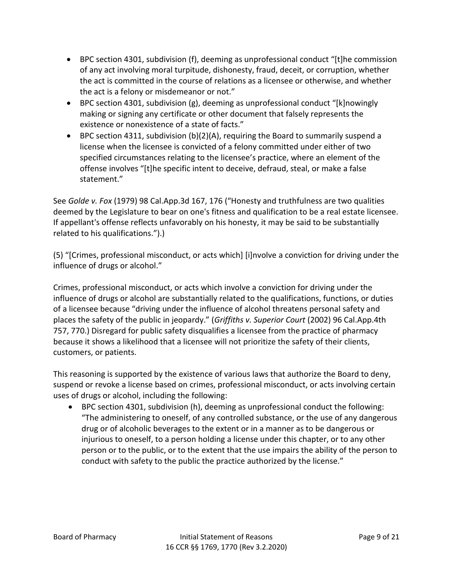- BPC section 4301, subdivision (f), deeming as unprofessional conduct "[t]he commission of any act involving moral turpitude, dishonesty, fraud, deceit, or corruption, whether the act is committed in the course of relations as a licensee or otherwise, and whether the act is a felony or misdemeanor or not."
- BPC section 4301, subdivision (g), deeming as unprofessional conduct "[k]nowingly making or signing any certificate or other document that falsely represents the existence or nonexistence of a state of facts."
- BPC section 4311, subdivision (b)(2)(A), requiring the Board to summarily suspend a license when the licensee is convicted of a felony committed under either of two specified circumstances relating to the licensee's practice, where an element of the offense involves "[t]he specific intent to deceive, defraud, steal, or make a false statement."

See *Golde v. Fox* (1979) 98 Cal.App.3d 167, 176 ("Honesty and truthfulness are two qualities deemed by the Legislature to bear on one's fitness and qualification to be a real estate licensee. If appellant's offense reflects unfavorably on his honesty, it may be said to be substantially related to his qualifications.").)

(5) "[Crimes, professional misconduct, or acts which] [i]nvolve a conviction for driving under the influence of drugs or alcohol."

Crimes, professional misconduct, or acts which involve a conviction for driving under the influence of drugs or alcohol are substantially related to the qualifications, functions, or duties of a licensee because "driving under the influence of alcohol threatens personal safety and places the safety of the public in jeopardy." (*Griffiths v. Superior Court* (2002) 96 Cal.App.4th 757, 770.) Disregard for public safety disqualifies a licensee from the practice of pharmacy because it shows a likelihood that a licensee will not prioritize the safety of their clients, customers, or patients.

This reasoning is supported by the existence of various laws that authorize the Board to deny, suspend or revoke a license based on crimes, professional misconduct, or acts involving certain uses of drugs or alcohol, including the following:

• BPC section 4301, subdivision (h), deeming as unprofessional conduct the following: "The administering to oneself, of any controlled substance, or the use of any dangerous drug or of alcoholic beverages to the extent or in a manner as to be dangerous or injurious to oneself, to a person holding a license under this chapter, or to any other person or to the public, or to the extent that the use impairs the ability of the person to conduct with safety to the public the practice authorized by the license."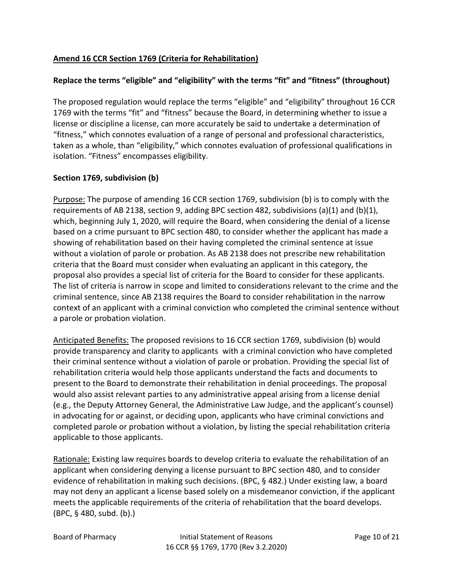# **Amend 16 CCR Section 1769 (Criteria for Rehabilitation)**

# **Replace the terms "eligible" and "eligibility" with the terms "fit" and "fitness" (throughout)**

The proposed regulation would replace the terms "eligible" and "eligibility" throughout 16 CCR 1769 with the terms "fit" and "fitness" because the Board, in determining whether to issue a license or discipline a license, can more accurately be said to undertake a determination of "fitness," which connotes evaluation of a range of personal and professional characteristics, taken as a whole, than "eligibility," which connotes evaluation of professional qualifications in isolation. "Fitness" encompasses eligibility.

### **Section 1769, subdivision (b)**

Purpose: The purpose of amending 16 CCR section 1769, subdivision (b) is to comply with the requirements of AB 2138, section 9, adding BPC section 482, subdivisions (a)(1) and (b)(1), which, beginning July 1, 2020, will require the Board, when considering the denial of a license based on a crime pursuant to BPC section 480, to consider whether the applicant has made a showing of rehabilitation based on their having completed the criminal sentence at issue without a violation of parole or probation. As AB 2138 does not prescribe new rehabilitation criteria that the Board must consider when evaluating an applicant in this category, the proposal also provides a special list of criteria for the Board to consider for these applicants. The list of criteria is narrow in scope and limited to considerations relevant to the crime and the criminal sentence, since AB 2138 requires the Board to consider rehabilitation in the narrow context of an applicant with a criminal conviction who completed the criminal sentence without a parole or probation violation.

Anticipated Benefits: The proposed revisions to 16 CCR section 1769, subdivision (b) would provide transparency and clarity to applicants with a criminal conviction who have completed their criminal sentence without a violation of parole or probation. Providing the special list of rehabilitation criteria would help those applicants understand the facts and documents to present to the Board to demonstrate their rehabilitation in denial proceedings. The proposal would also assist relevant parties to any administrative appeal arising from a license denial (e.g., the Deputy Attorney General, the Administrative Law Judge, and the applicant's counsel) in advocating for or against, or deciding upon, applicants who have criminal convictions and completed parole or probation without a violation, by listing the special rehabilitation criteria applicable to those applicants.

Rationale: Existing law requires boards to develop criteria to evaluate the rehabilitation of an applicant when considering denying a license pursuant to BPC section 480, and to consider evidence of rehabilitation in making such decisions. (BPC, § 482.) Under existing law, a board may not deny an applicant a license based solely on a misdemeanor conviction, if the applicant meets the applicable requirements of the criteria of rehabilitation that the board develops. (BPC, § 480, subd. (b).)

Board of Pharmacy Initial Statement of Reasons Page 10 of 21 16 CCR §§ 1769, 1770 (Rev 3.2.2020)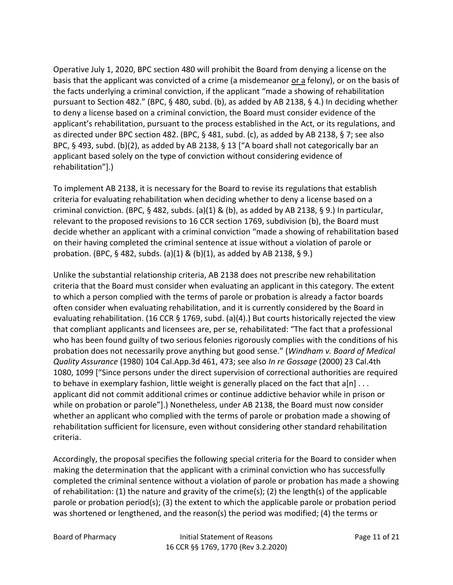Operative July 1, 2020, BPC section 480 will prohibit the Board from denying a license on the basis that the applicant was convicted of a crime (a misdemeanor or a felony), or on the basis of the facts underlying a criminal conviction, if the applicant "made a showing of rehabilitation pursuant to Section 482." (BPC, § 480, subd. (b), as added by AB 2138, § 4.) In deciding whether to deny a license based on a criminal conviction, the Board must consider evidence of the applicant's rehabilitation, pursuant to the process established in the Act, or its regulations, and as directed under BPC section 482. (BPC, § 481, subd. (c), as added by AB 2138, § 7; see also BPC, § 493, subd. (b)(2), as added by AB 2138, § 13 ["A board shall not categorically bar an applicant based solely on the type of conviction without considering evidence of rehabilitation"].)

To implement AB 2138, it is necessary for the Board to revise its regulations that establish criteria for evaluating rehabilitation when deciding whether to deny a license based on a criminal conviction. (BPC, § 482, subds. (a)(1) & (b), as added by AB 2138, § 9.) In particular, relevant to the proposed revisions to 16 CCR section 1769, subdivision (b), the Board must decide whether an applicant with a criminal conviction "made a showing of rehabilitation based on their having completed the criminal sentence at issue without a violation of parole or probation. (BPC, § 482, subds. (a)(1) & (b)(1), as added by AB 2138, § 9.)

Unlike the substantial relationship criteria, AB 2138 does not prescribe new rehabilitation criteria that the Board must consider when evaluating an applicant in this category. The extent to which a person complied with the terms of parole or probation is already a factor boards often consider when evaluating rehabilitation, and it is currently considered by the Board in evaluating rehabilitation. (16 CCR § 1769, subd. (a)(4).) But courts historically rejected the view that compliant applicants and licensees are, per se, rehabilitated: "The fact that a professional who has been found guilty of two serious felonies rigorously complies with the conditions of his probation does not necessarily prove anything but good sense." (*Windham v. Board of Medical Quality Assurance* (1980) 104 Cal.App.3d 461, 473; see also *In re Gossage* (2000) 23 Cal.4th 1080, 1099 ["Since persons under the direct supervision of correctional authorities are required to behave in exemplary fashion, little weight is generally placed on the fact that  $a[n] \ldots$ applicant did not commit additional crimes or continue addictive behavior while in prison or while on probation or parole"].) Nonetheless, under AB 2138, the Board must now consider whether an applicant who complied with the terms of parole or probation made a showing of rehabilitation sufficient for licensure, even without considering other standard rehabilitation criteria.

Accordingly, the proposal specifies the following special criteria for the Board to consider when making the determination that the applicant with a criminal conviction who has successfully completed the criminal sentence without a violation of parole or probation has made a showing of rehabilitation: (1) the nature and gravity of the crime(s); (2) the length(s) of the applicable parole or probation period(s); (3) the extent to which the applicable parole or probation period was shortened or lengthened, and the reason(s) the period was modified; (4) the terms or

Board of Pharmacy Initial Statement of Reasons Page 11 of 21 16 CCR §§ 1769, 1770 (Rev 3.2.2020)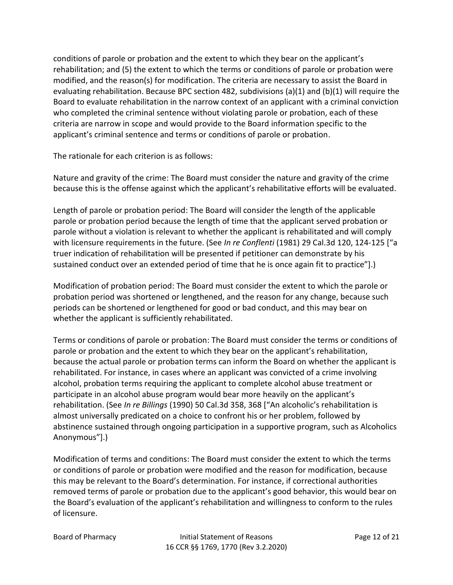conditions of parole or probation and the extent to which they bear on the applicant's rehabilitation; and (5) the extent to which the terms or conditions of parole or probation were modified, and the reason(s) for modification. The criteria are necessary to assist the Board in evaluating rehabilitation. Because BPC section 482, subdivisions (a)(1) and (b)(1) will require the Board to evaluate rehabilitation in the narrow context of an applicant with a criminal conviction who completed the criminal sentence without violating parole or probation, each of these criteria are narrow in scope and would provide to the Board information specific to the applicant's criminal sentence and terms or conditions of parole or probation.

The rationale for each criterion is as follows:

Nature and gravity of the crime: The Board must consider the nature and gravity of the crime because this is the offense against which the applicant's rehabilitative efforts will be evaluated.

Length of parole or probation period: The Board will consider the length of the applicable parole or probation period because the length of time that the applicant served probation or parole without a violation is relevant to whether the applicant is rehabilitated and will comply with licensure requirements in the future. (See *In re Conflenti* (1981) 29 Cal.3d 120, 124-125 ["a truer indication of rehabilitation will be presented if petitioner can demonstrate by his sustained conduct over an extended period of time that he is once again fit to practice"].)

Modification of probation period: The Board must consider the extent to which the parole or probation period was shortened or lengthened, and the reason for any change, because such periods can be shortened or lengthened for good or bad conduct, and this may bear on whether the applicant is sufficiently rehabilitated.

Terms or conditions of parole or probation: The Board must consider the terms or conditions of parole or probation and the extent to which they bear on the applicant's rehabilitation, because the actual parole or probation terms can inform the Board on whether the applicant is rehabilitated. For instance, in cases where an applicant was convicted of a crime involving alcohol, probation terms requiring the applicant to complete alcohol abuse treatment or participate in an alcohol abuse program would bear more heavily on the applicant's rehabilitation. (See *In re Billings* (1990) 50 Cal.3d 358, 368 ["An alcoholic's rehabilitation is almost universally predicated on a choice to confront his or her problem, followed by abstinence sustained through ongoing participation in a supportive program, such as Alcoholics Anonymous"].)

Modification of terms and conditions: The Board must consider the extent to which the terms or conditions of parole or probation were modified and the reason for modification, because this may be relevant to the Board's determination. For instance, if correctional authorities removed terms of parole or probation due to the applicant's good behavior, this would bear on the Board's evaluation of the applicant's rehabilitation and willingness to conform to the rules of licensure.

Board of Pharmacy Initial Statement of Reasons Page 12 of 21 16 CCR §§ 1769, 1770 (Rev 3.2.2020)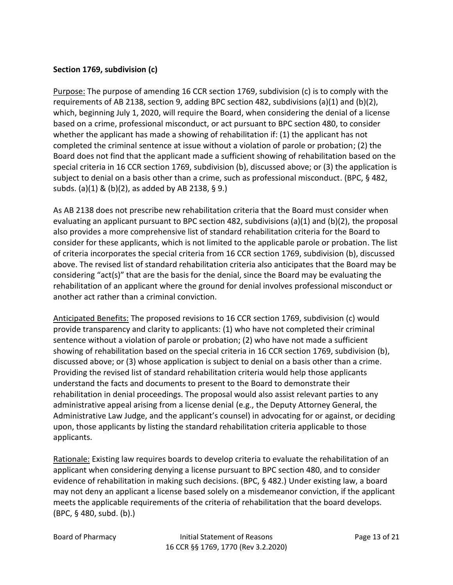#### **Section 1769, subdivision (c)**

Purpose: The purpose of amending 16 CCR section 1769, subdivision (c) is to comply with the requirements of AB 2138, section 9, adding BPC section 482, subdivisions (a)(1) and (b)(2), which, beginning July 1, 2020, will require the Board, when considering the denial of a license based on a crime, professional misconduct, or act pursuant to BPC section 480, to consider whether the applicant has made a showing of rehabilitation if: (1) the applicant has not completed the criminal sentence at issue without a violation of parole or probation; (2) the Board does not find that the applicant made a sufficient showing of rehabilitation based on the special criteria in 16 CCR section 1769, subdivision (b), discussed above; or (3) the application is subject to denial on a basis other than a crime, such as professional misconduct. (BPC, § 482, subds. (a)(1) & (b)(2), as added by AB 2138, § 9.)

As AB 2138 does not prescribe new rehabilitation criteria that the Board must consider when evaluating an applicant pursuant to BPC section 482, subdivisions (a)(1) and (b)(2), the proposal also provides a more comprehensive list of standard rehabilitation criteria for the Board to consider for these applicants, which is not limited to the applicable parole or probation. The list of criteria incorporates the special criteria from 16 CCR section 1769, subdivision (b), discussed above. The revised list of standard rehabilitation criteria also anticipates that the Board may be considering "act(s)" that are the basis for the denial, since the Board may be evaluating the rehabilitation of an applicant where the ground for denial involves professional misconduct or another act rather than a criminal conviction.

Anticipated Benefits: The proposed revisions to 16 CCR section 1769, subdivision (c) would provide transparency and clarity to applicants: (1) who have not completed their criminal sentence without a violation of parole or probation; (2) who have not made a sufficient showing of rehabilitation based on the special criteria in 16 CCR section 1769, subdivision (b), discussed above; or (3) whose application is subject to denial on a basis other than a crime. Providing the revised list of standard rehabilitation criteria would help those applicants understand the facts and documents to present to the Board to demonstrate their rehabilitation in denial proceedings. The proposal would also assist relevant parties to any administrative appeal arising from a license denial (e.g., the Deputy Attorney General, the Administrative Law Judge, and the applicant's counsel) in advocating for or against, or deciding upon, those applicants by listing the standard rehabilitation criteria applicable to those applicants.

Rationale: Existing law requires boards to develop criteria to evaluate the rehabilitation of an applicant when considering denying a license pursuant to BPC section 480, and to consider evidence of rehabilitation in making such decisions. (BPC, § 482.) Under existing law, a board may not deny an applicant a license based solely on a misdemeanor conviction, if the applicant meets the applicable requirements of the criteria of rehabilitation that the board develops. (BPC, § 480, subd. (b).)

Board of Pharmacy Initial Statement of Reasons Page 13 of 21 16 CCR §§ 1769, 1770 (Rev 3.2.2020)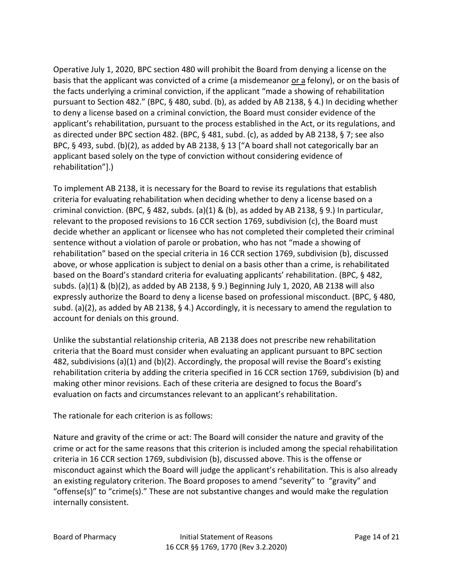Operative July 1, 2020, BPC section 480 will prohibit the Board from denying a license on the basis that the applicant was convicted of a crime (a misdemeanor or a felony), or on the basis of the facts underlying a criminal conviction, if the applicant "made a showing of rehabilitation pursuant to Section 482." (BPC, § 480, subd. (b), as added by AB 2138, § 4.) In deciding whether to deny a license based on a criminal conviction, the Board must consider evidence of the applicant's rehabilitation, pursuant to the process established in the Act, or its regulations, and as directed under BPC section 482. (BPC, § 481, subd. (c), as added by AB 2138, § 7; see also BPC, § 493, subd. (b)(2), as added by AB 2138, § 13 ["A board shall not categorically bar an applicant based solely on the type of conviction without considering evidence of rehabilitation"].)

To implement AB 2138, it is necessary for the Board to revise its regulations that establish criteria for evaluating rehabilitation when deciding whether to deny a license based on a criminal conviction. (BPC, § 482, subds. (a)(1) & (b), as added by AB 2138, § 9.) In particular, relevant to the proposed revisions to 16 CCR section 1769, subdivision (c), the Board must decide whether an applicant or licensee who has not completed their completed their criminal sentence without a violation of parole or probation, who has not "made a showing of rehabilitation" based on the special criteria in 16 CCR section 1769, subdivision (b), discussed above, or whose application is subject to denial on a basis other than a crime, is rehabilitated based on the Board's standard criteria for evaluating applicants' rehabilitation. (BPC, § 482, subds. (a)(1) & (b)(2), as added by AB 2138, § 9.) Beginning July 1, 2020, AB 2138 will also expressly authorize the Board to deny a license based on professional misconduct. (BPC, § 480, subd. (a)(2), as added by AB 2138, § 4.) Accordingly, it is necessary to amend the regulation to account for denials on this ground.

Unlike the substantial relationship criteria, AB 2138 does not prescribe new rehabilitation criteria that the Board must consider when evaluating an applicant pursuant to BPC section 482, subdivisions (a)(1) and (b)(2). Accordingly, the proposal will revise the Board's existing rehabilitation criteria by adding the criteria specified in 16 CCR section 1769, subdivision (b) and making other minor revisions. Each of these criteria are designed to focus the Board's evaluation on facts and circumstances relevant to an applicant's rehabilitation.

The rationale for each criterion is as follows:

Nature and gravity of the crime or act: The Board will consider the nature and gravity of the crime or act for the same reasons that this criterion is included among the special rehabilitation criteria in 16 CCR section 1769, subdivision (b), discussed above. This is the offense or misconduct against which the Board will judge the applicant's rehabilitation. This is also already an existing regulatory criterion. The Board proposes to amend "severity" to "gravity" and "offense(s)" to "crime(s)." These are not substantive changes and would make the regulation internally consistent.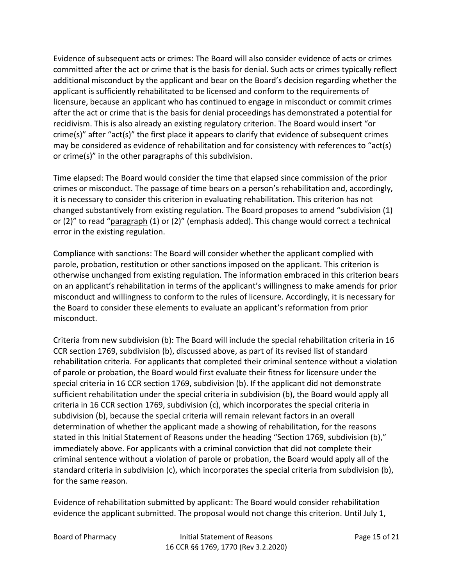Evidence of subsequent acts or crimes: The Board will also consider evidence of acts or crimes committed after the act or crime that is the basis for denial. Such acts or crimes typically reflect additional misconduct by the applicant and bear on the Board's decision regarding whether the applicant is sufficiently rehabilitated to be licensed and conform to the requirements of licensure, because an applicant who has continued to engage in misconduct or commit crimes after the act or crime that is the basis for denial proceedings has demonstrated a potential for recidivism. This is also already an existing regulatory criterion. The Board would insert "or crime(s)" after "act(s)" the first place it appears to clarify that evidence of subsequent crimes may be considered as evidence of rehabilitation and for consistency with references to "act(s) or crime(s)" in the other paragraphs of this subdivision.

Time elapsed: The Board would consider the time that elapsed since commission of the prior crimes or misconduct. The passage of time bears on a person's rehabilitation and, accordingly, it is necessary to consider this criterion in evaluating rehabilitation. This criterion has not changed substantively from existing regulation. The Board proposes to amend "subdivision (1) or (2)" to read "paragraph (1) or (2)" (emphasis added). This change would correct a technical error in the existing regulation.

Compliance with sanctions: The Board will consider whether the applicant complied with parole, probation, restitution or other sanctions imposed on the applicant. This criterion is otherwise unchanged from existing regulation. The information embraced in this criterion bears on an applicant's rehabilitation in terms of the applicant's willingness to make amends for prior misconduct and willingness to conform to the rules of licensure. Accordingly, it is necessary for the Board to consider these elements to evaluate an applicant's reformation from prior misconduct.

Criteria from new subdivision (b): The Board will include the special rehabilitation criteria in 16 CCR section 1769, subdivision (b), discussed above, as part of its revised list of standard rehabilitation criteria. For applicants that completed their criminal sentence without a violation of parole or probation, the Board would first evaluate their fitness for licensure under the special criteria in 16 CCR section 1769, subdivision (b). If the applicant did not demonstrate sufficient rehabilitation under the special criteria in subdivision (b), the Board would apply all criteria in 16 CCR section 1769, subdivision (c), which incorporates the special criteria in subdivision (b), because the special criteria will remain relevant factors in an overall determination of whether the applicant made a showing of rehabilitation, for the reasons stated in this Initial Statement of Reasons under the heading "Section 1769, subdivision (b)," immediately above. For applicants with a criminal conviction that did not complete their criminal sentence without a violation of parole or probation, the Board would apply all of the standard criteria in subdivision (c), which incorporates the special criteria from subdivision (b), for the same reason.

Evidence of rehabilitation submitted by applicant: The Board would consider rehabilitation evidence the applicant submitted. The proposal would not change this criterion. Until July 1,

Board of Pharmacy Initial Statement of Reasons Page 15 of 21 16 CCR §§ 1769, 1770 (Rev 3.2.2020)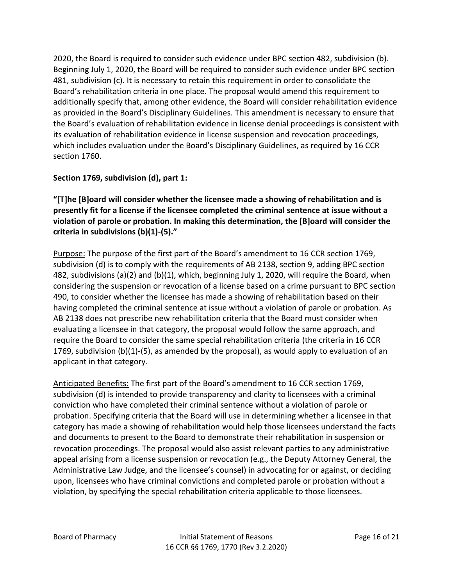2020, the Board is required to consider such evidence under BPC section 482, subdivision (b). Beginning July 1, 2020, the Board will be required to consider such evidence under BPC section 481, subdivision (c). It is necessary to retain this requirement in order to consolidate the Board's rehabilitation criteria in one place. The proposal would amend this requirement to additionally specify that, among other evidence, the Board will consider rehabilitation evidence as provided in the Board's Disciplinary Guidelines. This amendment is necessary to ensure that the Board's evaluation of rehabilitation evidence in license denial proceedings is consistent with its evaluation of rehabilitation evidence in license suspension and revocation proceedings, which includes evaluation under the Board's Disciplinary Guidelines, as required by 16 CCR section 1760.

# **Section 1769, subdivision (d), part 1:**

**"[T]he [B]oard will consider whether the licensee made a showing of rehabilitation and is presently fit for a license if the licensee completed the criminal sentence at issue without a violation of parole or probation. In making this determination, the [B]oard will consider the criteria in subdivisions (b)(1)-(5)."**

Purpose: The purpose of the first part of the Board's amendment to 16 CCR section 1769, subdivision (d) is to comply with the requirements of AB 2138, section 9, adding BPC section 482, subdivisions (a)(2) and (b)(1), which, beginning July 1, 2020, will require the Board, when considering the suspension or revocation of a license based on a crime pursuant to BPC section 490, to consider whether the licensee has made a showing of rehabilitation based on their having completed the criminal sentence at issue without a violation of parole or probation. As AB 2138 does not prescribe new rehabilitation criteria that the Board must consider when evaluating a licensee in that category, the proposal would follow the same approach, and require the Board to consider the same special rehabilitation criteria (the criteria in 16 CCR 1769, subdivision (b)(1)-(5), as amended by the proposal), as would apply to evaluation of an applicant in that category.

Anticipated Benefits: The first part of the Board's amendment to 16 CCR section 1769, subdivision (d) is intended to provide transparency and clarity to licensees with a criminal conviction who have completed their criminal sentence without a violation of parole or probation. Specifying criteria that the Board will use in determining whether a licensee in that category has made a showing of rehabilitation would help those licensees understand the facts and documents to present to the Board to demonstrate their rehabilitation in suspension or revocation proceedings. The proposal would also assist relevant parties to any administrative appeal arising from a license suspension or revocation (e.g., the Deputy Attorney General, the Administrative Law Judge, and the licensee's counsel) in advocating for or against, or deciding upon, licensees who have criminal convictions and completed parole or probation without a violation, by specifying the special rehabilitation criteria applicable to those licensees.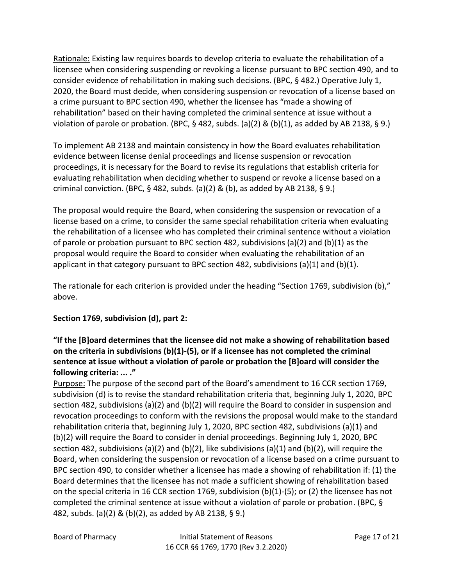Rationale: Existing law requires boards to develop criteria to evaluate the rehabilitation of a licensee when considering suspending or revoking a license pursuant to BPC section 490, and to consider evidence of rehabilitation in making such decisions. (BPC, § 482.) Operative July 1, 2020, the Board must decide, when considering suspension or revocation of a license based on a crime pursuant to BPC section 490, whether the licensee has "made a showing of rehabilitation" based on their having completed the criminal sentence at issue without a violation of parole or probation. (BPC,  $\S$  482, subds. (a)(2) & (b)(1), as added by AB 2138,  $\S$  9.)

To implement AB 2138 and maintain consistency in how the Board evaluates rehabilitation evidence between license denial proceedings and license suspension or revocation proceedings, it is necessary for the Board to revise its regulations that establish criteria for evaluating rehabilitation when deciding whether to suspend or revoke a license based on a criminal conviction. (BPC, § 482, subds. (a)(2) & (b), as added by AB 2138, § 9.)

The proposal would require the Board, when considering the suspension or revocation of a license based on a crime, to consider the same special rehabilitation criteria when evaluating the rehabilitation of a licensee who has completed their criminal sentence without a violation of parole or probation pursuant to BPC section 482, subdivisions (a)(2) and (b)(1) as the proposal would require the Board to consider when evaluating the rehabilitation of an applicant in that category pursuant to BPC section 482, subdivisions (a)(1) and (b)(1).

The rationale for each criterion is provided under the heading "Section 1769, subdivision (b)," above.

# **Section 1769, subdivision (d), part 2:**

# **"If the [B]oard determines that the licensee did not make a showing of rehabilitation based on the criteria in subdivisions (b)(1)-(5), or if a licensee has not completed the criminal sentence at issue without a violation of parole or probation the [B]oard will consider the following criteria: ... ."**

Purpose: The purpose of the second part of the Board's amendment to 16 CCR section 1769, subdivision (d) is to revise the standard rehabilitation criteria that, beginning July 1, 2020, BPC section 482, subdivisions (a)(2) and (b)(2) will require the Board to consider in suspension and revocation proceedings to conform with the revisions the proposal would make to the standard rehabilitation criteria that, beginning July 1, 2020, BPC section 482, subdivisions (a)(1) and (b)(2) will require the Board to consider in denial proceedings. Beginning July 1, 2020, BPC section 482, subdivisions (a)(2) and (b)(2), like subdivisions (a)(1) and (b)(2), will require the Board, when considering the suspension or revocation of a license based on a crime pursuant to BPC section 490, to consider whether a licensee has made a showing of rehabilitation if: (1) the Board determines that the licensee has not made a sufficient showing of rehabilitation based on the special criteria in 16 CCR section 1769, subdivision (b)(1)-(5); or (2) the licensee has not completed the criminal sentence at issue without a violation of parole or probation. (BPC, § 482, subds. (a)(2) & (b)(2), as added by AB 2138, § 9.)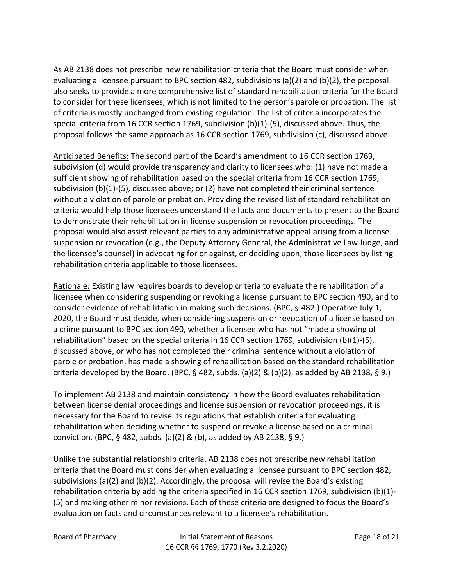As AB 2138 does not prescribe new rehabilitation criteria that the Board must consider when evaluating a licensee pursuant to BPC section 482, subdivisions (a)(2) and (b)(2), the proposal also seeks to provide a more comprehensive list of standard rehabilitation criteria for the Board to consider for these licensees, which is not limited to the person's parole or probation. The list of criteria is mostly unchanged from existing regulation. The list of criteria incorporates the special criteria from 16 CCR section 1769, subdivision (b)(1)-(5), discussed above. Thus, the proposal follows the same approach as 16 CCR section 1769, subdivision (c), discussed above.

Anticipated Benefits: The second part of the Board's amendment to 16 CCR section 1769, subdivision (d) would provide transparency and clarity to licensees who: (1) have not made a sufficient showing of rehabilitation based on the special criteria from 16 CCR section 1769, subdivision (b)(1)-(5), discussed above; or (2) have not completed their criminal sentence without a violation of parole or probation. Providing the revised list of standard rehabilitation criteria would help those licensees understand the facts and documents to present to the Board to demonstrate their rehabilitation in license suspension or revocation proceedings. The proposal would also assist relevant parties to any administrative appeal arising from a license suspension or revocation (e.g., the Deputy Attorney General, the Administrative Law Judge, and the licensee's counsel) in advocating for or against, or deciding upon, those licensees by listing rehabilitation criteria applicable to those licensees.

Rationale: Existing law requires boards to develop criteria to evaluate the rehabilitation of a licensee when considering suspending or revoking a license pursuant to BPC section 490, and to consider evidence of rehabilitation in making such decisions. (BPC, § 482.) Operative July 1, 2020, the Board must decide, when considering suspension or revocation of a license based on a crime pursuant to BPC section 490, whether a licensee who has not "made a showing of rehabilitation" based on the special criteria in 16 CCR section 1769, subdivision (b)(1)-(5), discussed above, or who has not completed their criminal sentence without a violation of parole or probation, has made a showing of rehabilitation based on the standard rehabilitation criteria developed by the Board. (BPC, § 482, subds. (a)(2) & (b)(2), as added by AB 2138, § 9.)

To implement AB 2138 and maintain consistency in how the Board evaluates rehabilitation between license denial proceedings and license suspension or revocation proceedings, it is necessary for the Board to revise its regulations that establish criteria for evaluating rehabilitation when deciding whether to suspend or revoke a license based on a criminal conviction. (BPC, § 482, subds. (a)(2) & (b), as added by AB 2138, § 9.)

Unlike the substantial relationship criteria, AB 2138 does not prescribe new rehabilitation criteria that the Board must consider when evaluating a licensee pursuant to BPC section 482, subdivisions (a)(2) and (b)(2). Accordingly, the proposal will revise the Board's existing rehabilitation criteria by adding the criteria specified in 16 CCR section 1769, subdivision (b)(1)- (5) and making other minor revisions. Each of these criteria are designed to focus the Board's evaluation on facts and circumstances relevant to a licensee's rehabilitation.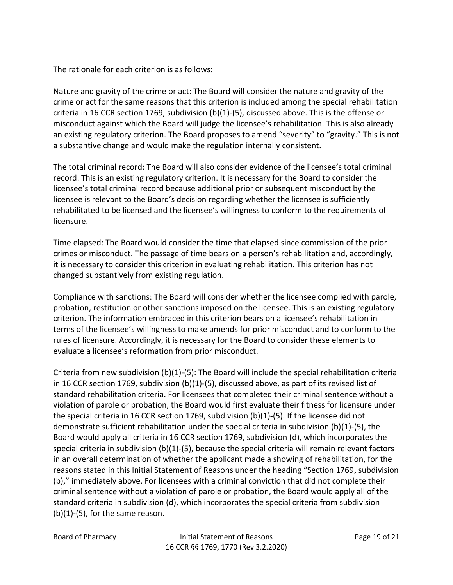The rationale for each criterion is as follows:

Nature and gravity of the crime or act: The Board will consider the nature and gravity of the crime or act for the same reasons that this criterion is included among the special rehabilitation criteria in 16 CCR section 1769, subdivision (b)(1)-(5), discussed above. This is the offense or misconduct against which the Board will judge the licensee's rehabilitation. This is also already an existing regulatory criterion. The Board proposes to amend "severity" to "gravity." This is not a substantive change and would make the regulation internally consistent.

The total criminal record: The Board will also consider evidence of the licensee's total criminal record. This is an existing regulatory criterion. It is necessary for the Board to consider the licensee's total criminal record because additional prior or subsequent misconduct by the licensee is relevant to the Board's decision regarding whether the licensee is sufficiently rehabilitated to be licensed and the licensee's willingness to conform to the requirements of licensure.

Time elapsed: The Board would consider the time that elapsed since commission of the prior crimes or misconduct. The passage of time bears on a person's rehabilitation and, accordingly, it is necessary to consider this criterion in evaluating rehabilitation. This criterion has not changed substantively from existing regulation.

Compliance with sanctions: The Board will consider whether the licensee complied with parole, probation, restitution or other sanctions imposed on the licensee. This is an existing regulatory criterion. The information embraced in this criterion bears on a licensee's rehabilitation in terms of the licensee's willingness to make amends for prior misconduct and to conform to the rules of licensure. Accordingly, it is necessary for the Board to consider these elements to evaluate a licensee's reformation from prior misconduct.

Criteria from new subdivision (b)(1)-(5): The Board will include the special rehabilitation criteria in 16 CCR section 1769, subdivision (b)(1)-(5), discussed above, as part of its revised list of standard rehabilitation criteria. For licensees that completed their criminal sentence without a violation of parole or probation, the Board would first evaluate their fitness for licensure under the special criteria in 16 CCR section 1769, subdivision  $(b)(1)-(5)$ . If the licensee did not demonstrate sufficient rehabilitation under the special criteria in subdivision (b)(1)-(5), the Board would apply all criteria in 16 CCR section 1769, subdivision (d), which incorporates the special criteria in subdivision (b)(1)-(5), because the special criteria will remain relevant factors in an overall determination of whether the applicant made a showing of rehabilitation, for the reasons stated in this Initial Statement of Reasons under the heading "Section 1769, subdivision (b)," immediately above. For licensees with a criminal conviction that did not complete their criminal sentence without a violation of parole or probation, the Board would apply all of the standard criteria in subdivision (d), which incorporates the special criteria from subdivision  $(b)(1)-(5)$ , for the same reason.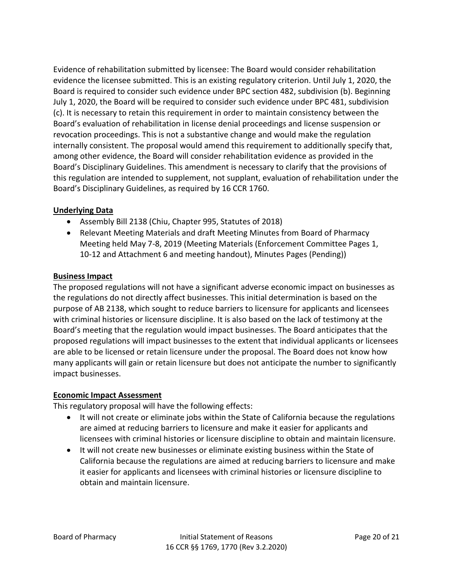Evidence of rehabilitation submitted by licensee: The Board would consider rehabilitation evidence the licensee submitted. This is an existing regulatory criterion. Until July 1, 2020, the Board is required to consider such evidence under BPC section 482, subdivision (b). Beginning July 1, 2020, the Board will be required to consider such evidence under BPC 481, subdivision (c). It is necessary to retain this requirement in order to maintain consistency between the Board's evaluation of rehabilitation in license denial proceedings and license suspension or revocation proceedings. This is not a substantive change and would make the regulation internally consistent. The proposal would amend this requirement to additionally specify that, among other evidence, the Board will consider rehabilitation evidence as provided in the Board's Disciplinary Guidelines. This amendment is necessary to clarify that the provisions of this regulation are intended to supplement, not supplant, evaluation of rehabilitation under the Board's Disciplinary Guidelines, as required by 16 CCR 1760.

### **Underlying Data**

- Assembly Bill 2138 (Chiu, Chapter 995, Statutes of 2018)
- Relevant Meeting Materials and draft Meeting Minutes from Board of Pharmacy Meeting held May 7-8, 2019 (Meeting Materials (Enforcement Committee Pages 1, 10-12 and Attachment 6 and meeting handout), Minutes Pages (Pending))

### **Business Impact**

The proposed regulations will not have a significant adverse economic impact on businesses as the regulations do not directly affect businesses. This initial determination is based on the purpose of AB 2138, which sought to reduce barriers to licensure for applicants and licensees with criminal histories or licensure discipline. It is also based on the lack of testimony at the Board's meeting that the regulation would impact businesses. The Board anticipates that the proposed regulations will impact businesses to the extent that individual applicants or licensees are able to be licensed or retain licensure under the proposal. The Board does not know how many applicants will gain or retain licensure but does not anticipate the number to significantly impact businesses.

#### **Economic Impact Assessment**

This regulatory proposal will have the following effects:

- It will not create or eliminate jobs within the State of California because the regulations are aimed at reducing barriers to licensure and make it easier for applicants and licensees with criminal histories or licensure discipline to obtain and maintain licensure.
- It will not create new businesses or eliminate existing business within the State of California because the regulations are aimed at reducing barriers to licensure and make it easier for applicants and licensees with criminal histories or licensure discipline to obtain and maintain licensure.